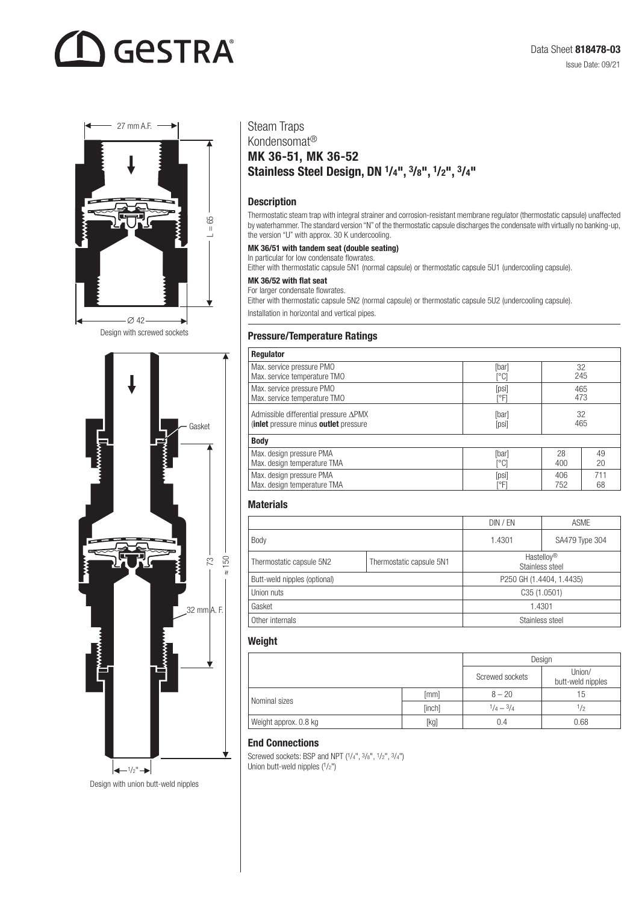# **GESTRA**



Design with screwed sockets



## Steam Traps

## Kondensomat® MK 36-51, MK 36-52 Stainless Steel Design, DN 1/4", 3/8", 1/2", 3/4"

#### Description

Thermostatic steam trap with integral strainer and corrosion-resistant membrane regulator (thermostatic capsule) unaffected by waterhammer. The standard version "N" of the thermostatic capsule discharges the condensate with virtually no banking-up, the version "U" with approx. 30 K undercooling.

#### MK 36/51 with tandem seat (double seating)

In particular for low condensate flowrates. Either with thermostatic capsule 5N1 (normal capsule) or thermostatic capsule 5U1 (undercooling capsule).

#### MK 36/52 with flat seat

For larger condensate flowrates.

Either with thermostatic capsule 5N2 (normal capsule) or thermostatic capsule 5U2 (undercooling capsule). Installation in horizontal and vertical pipes.

#### Pressure/Temperature Ratings

| Regulator                                                 |                                    |     |     |
|-----------------------------------------------------------|------------------------------------|-----|-----|
| Max. service pressure PMO<br>Max. service temperature TMO | [bar]<br>$\lceil \text{°C} \rceil$ | 32  | 245 |
| Max. service pressure PMO                                 | [psi]                              |     | 465 |
| Max. service temperature TMO                              | [°F]                               |     | 473 |
| Admissible differential pressure ∆PMX                     | [bar]                              | 32  |     |
| (inlet pressure minus outlet pressure                     | [psi]                              | 465 |     |
| <b>Body</b>                                               |                                    |     |     |
| Max. design pressure PMA                                  | [bar]                              | 28  | 49  |
| Max. design temperature TMA                               | [°C]                               | 400 | 20  |
| Max. design pressure PMA                                  | [psi]                              | 406 | 711 |
| Max. design temperature TMA                               | ľ°Fl                               | 752 | 68  |

#### **Materials**

|                              |                          | DIN / EN                      | <b>ASME</b>    |  |
|------------------------------|--------------------------|-------------------------------|----------------|--|
| Body                         |                          | 1.4301                        | SA479 Type 304 |  |
| Thermostatic capsule 5N2     | Thermostatic capsule 5N1 | Hastelloy®<br>Stainless steel |                |  |
| Butt-weld nipples (optional) |                          | P250 GH (1.4404, 1.4435)      |                |  |
| Union nuts                   |                          | C35(1.0501)                   |                |  |
| Gasket                       |                          | 1.4301                        |                |  |
| Other internals              |                          | Stainless steel               |                |  |

#### Weight

|                       |        | Design                      |                             |
|-----------------------|--------|-----------------------------|-----------------------------|
|                       |        | Screwed sockets             | Union/<br>butt-weld nipples |
| Nominal sizes         | [mm]   | $8 - 20$                    | 15                          |
|                       | [inch] | $\frac{1}{4} - \frac{3}{4}$ | 1/2                         |
| Weight approx. 0.8 kg | [kg]   | 0.4                         | 0.68                        |

#### End Connections

Screwed sockets: BSP and NPT  $(1/4^n, 3/8^n, 1/2^n, 3/4^n)$ <br>Union butt-weld nipples  $(1/2^n)$ 

Design with union butt-weld nipples